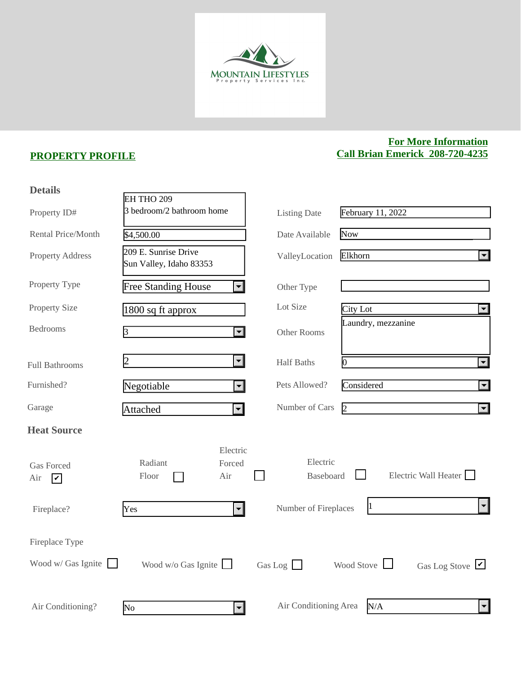

## **PROPERTY PROFILE**

## **For More Information Call Brian Emerick 208-720-4235**

| <b>Details</b>                                       |                                                 |                             |                              |                                               |
|------------------------------------------------------|-------------------------------------------------|-----------------------------|------------------------------|-----------------------------------------------|
|                                                      | EH THO 209                                      |                             |                              |                                               |
| Property ID#                                         | 3 bedroom/2 bathroom home                       |                             | <b>Listing Date</b>          | February 11, 2022                             |
| <b>Rental Price/Month</b>                            | \$4,500.00                                      |                             | Date Available               | Now                                           |
| <b>Property Address</b>                              | 209 E. Sunrise Drive<br>Sun Valley, Idaho 83353 |                             | ValleyLocation               | $\overline{\mathbf{r}}$<br>Elkhorn            |
| Property Type                                        | <b>Free Standing House</b>                      | $\vert \bullet \vert$       | Other Type                   |                                               |
| <b>Property Size</b>                                 | 1800 sq ft approx                               |                             | Lot Size                     | City Lot<br>$\blacktriangleleft$              |
| <b>Bedrooms</b>                                      | 3                                               | $\overline{\mathbf{v}}$     | Other Rooms                  | Laundry, mezzanine                            |
| <b>Full Bathrooms</b>                                | 2                                               | $\left  \cdot \right $      | <b>Half Baths</b>            | $\overline{\phantom{a}}$<br>0                 |
| Furnished?                                           | Negotiable                                      | $\left  \mathbf{v} \right $ | Pets Allowed?                | Considered<br>$\blacktriangleleft$            |
| Garage                                               | Attached                                        | $\left  \mathbf{v} \right $ | Number of Cars               | $\overline{2}$<br>$\vert \textbf{I} \vert$    |
| <b>Heat Source</b>                                   |                                                 |                             |                              |                                               |
| <b>Gas Forced</b><br>Air<br>$\overline{\mathcal{V}}$ | Radiant<br>Floor<br>Air                         | Electric<br>Forced          | Electric<br><b>Baseboard</b> | Electric Wall Heater                          |
| Fireplace?                                           | Yes                                             | $\mathbf{r}$                | Number of Fireplaces         | $\left  \mathbf{v} \right $<br>1              |
| Fireplace Type                                       |                                                 |                             |                              |                                               |
| Wood w/ Gas Ignite                                   | Wood $w/o$ Gas Ignite                           |                             | Gas Log                      | Wood Stove<br>Gas Log Stove $\vert \nu \vert$ |
| Air Conditioning?                                    | $\overline{\text{No}}$                          | $\overline{\mathbf{v}}$     | Air Conditioning Area        | N/A<br>$\vert \mathbf{v} \vert$               |